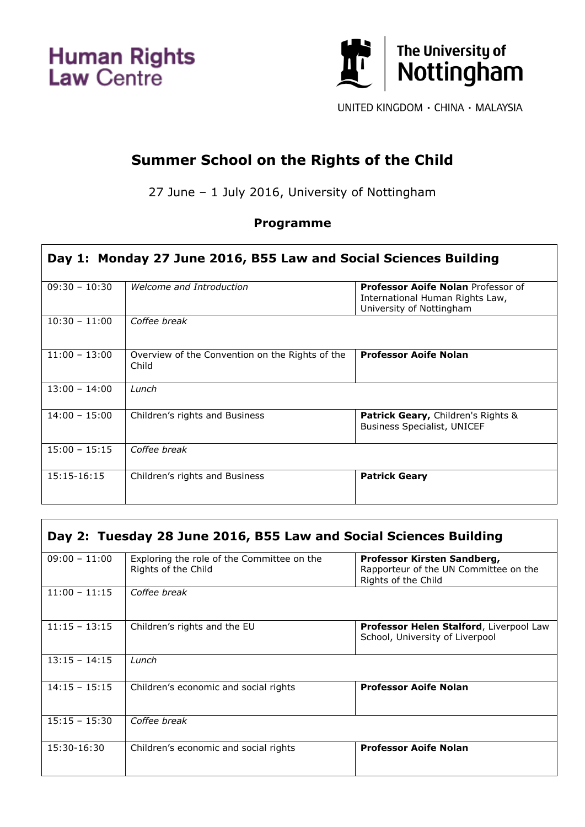**Human Rights**<br>Law Centre

 $\mathsf T$ 



UNITED KINGDOM · CHINA · MALAYSIA

## **Summer School on the Rights of the Child**

27 June – 1 July 2016, University of Nottingham

## **Programme**

| Day 1: Monday 27 June 2016, B55 Law and Social Sciences Building |                                                          |                                                                                                          |  |
|------------------------------------------------------------------|----------------------------------------------------------|----------------------------------------------------------------------------------------------------------|--|
| $09:30 - 10:30$                                                  | Welcome and Introduction                                 | <b>Professor Aoife Nolan Professor of</b><br>International Human Rights Law,<br>University of Nottingham |  |
| $10:30 - 11:00$                                                  | Coffee break                                             |                                                                                                          |  |
| $11:00 - 13:00$                                                  | Overview of the Convention on the Rights of the<br>Child | <b>Professor Aoife Nolan</b>                                                                             |  |
| $13:00 - 14:00$                                                  | Lunch                                                    |                                                                                                          |  |
| $14:00 - 15:00$                                                  | Children's rights and Business                           | <b>Patrick Geary, Children's Rights &amp;</b><br><b>Business Specialist, UNICEF</b>                      |  |
| $15:00 - 15:15$                                                  | Coffee break                                             |                                                                                                          |  |
| $15:15-16:15$                                                    | Children's rights and Business                           | <b>Patrick Geary</b>                                                                                     |  |

| Day 2: Tuesday 28 June 2016, B55 Law and Social Sciences Building |                                                                   |                                                                                             |  |
|-------------------------------------------------------------------|-------------------------------------------------------------------|---------------------------------------------------------------------------------------------|--|
| $09:00 - 11:00$                                                   | Exploring the role of the Committee on the<br>Rights of the Child | Professor Kirsten Sandberg,<br>Rapporteur of the UN Committee on the<br>Rights of the Child |  |
| $11:00 - 11:15$                                                   | Coffee break                                                      |                                                                                             |  |
| $11:15 - 13:15$                                                   | Children's rights and the EU                                      | <b>Professor Helen Stalford, Liverpool Law</b><br>School, University of Liverpool           |  |
| $13:15 - 14:15$                                                   | Lunch                                                             |                                                                                             |  |
| $14:15 - 15:15$                                                   | Children's economic and social rights                             | <b>Professor Aoife Nolan</b>                                                                |  |
| $15:15 - 15:30$                                                   | Coffee break                                                      |                                                                                             |  |
| 15:30-16:30                                                       | Children's economic and social rights                             | <b>Professor Aoife Nolan</b>                                                                |  |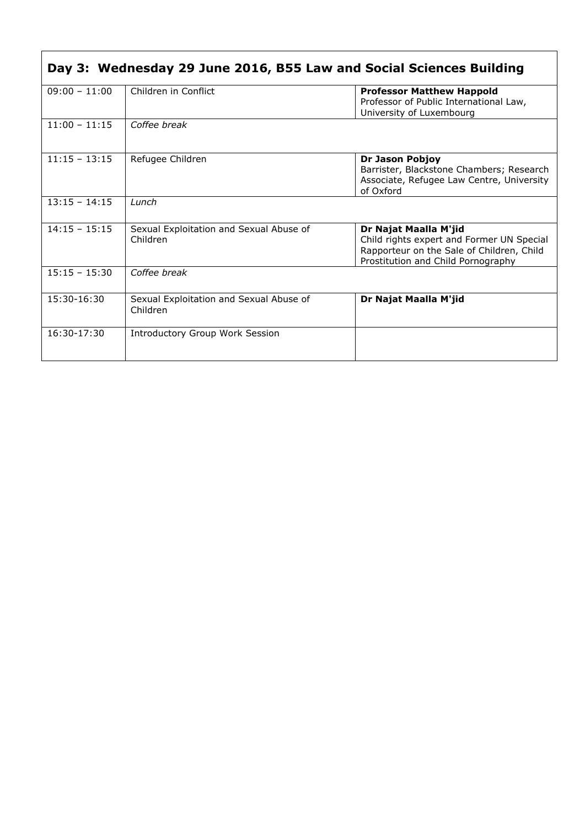| Day 3: Wednesday 29 June 2016, B55 Law and Social Sciences Building |                                                     |                                                                                                                                                       |  |
|---------------------------------------------------------------------|-----------------------------------------------------|-------------------------------------------------------------------------------------------------------------------------------------------------------|--|
| $09:00 - 11:00$                                                     | Children in Conflict                                | <b>Professor Matthew Happold</b><br>Professor of Public International Law,<br>University of Luxembourg                                                |  |
| $11:00 - 11:15$                                                     | Coffee break                                        |                                                                                                                                                       |  |
| $11:15 - 13:15$                                                     | Refugee Children                                    | Dr Jason Pobjoy<br>Barrister, Blackstone Chambers; Research<br>Associate, Refugee Law Centre, University<br>of Oxford                                 |  |
| $13:15 - 14:15$                                                     | Lunch                                               |                                                                                                                                                       |  |
| $14:15 - 15:15$                                                     | Sexual Exploitation and Sexual Abuse of<br>Children | Dr Najat Maalla M'jid<br>Child rights expert and Former UN Special<br>Rapporteur on the Sale of Children, Child<br>Prostitution and Child Pornography |  |
| $15:15 - 15:30$                                                     | Coffee break                                        |                                                                                                                                                       |  |
| 15:30-16:30                                                         | Sexual Exploitation and Sexual Abuse of<br>Children | Dr Najat Maalla M'jid                                                                                                                                 |  |
| $16:30-17:30$                                                       | <b>Introductory Group Work Session</b>              |                                                                                                                                                       |  |